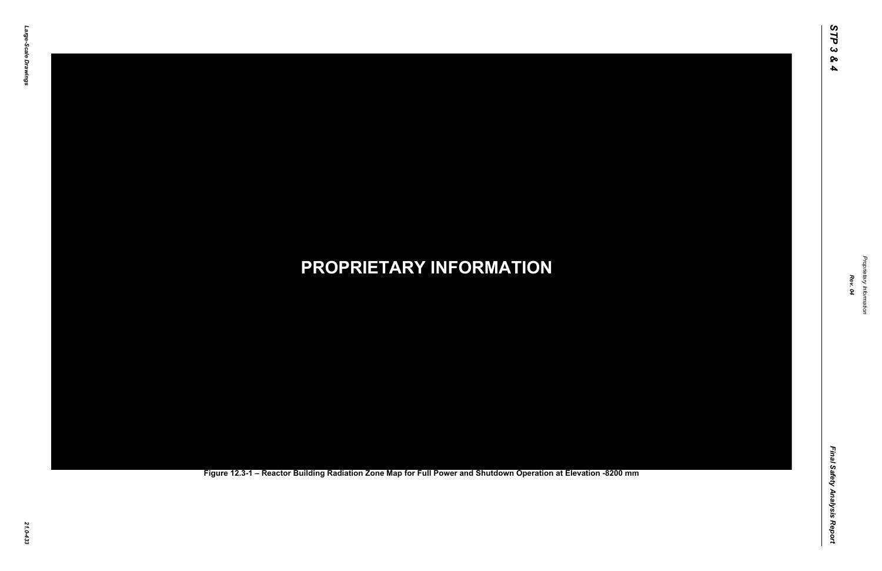Final Safety Analysis Report *Final Safety Analysis Report*

*Proprietary Information* Proprietary Information



### *21.0-433* **PROPRIETARY INFORMATION Figure 12.3-1 – Reactor Building Radiation Zone Map for Full Power and Shutdown Operation at Elevation -8200 mm**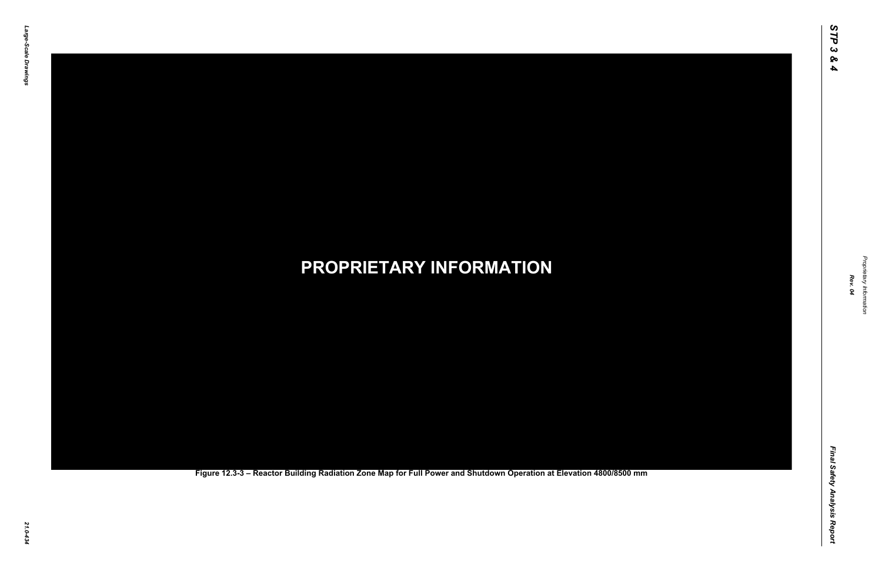Final Safety Analysis Report *Final Safety Analysis Report*

*Proprietary Information* Proprietary Information



### *21.0-434* **PROPRIETARY INFORMATION Figure 12.3-3 – Reactor Building Radiation Zone Map for Full Power and Shutdown Operation at Elevation 4800/8500 mm**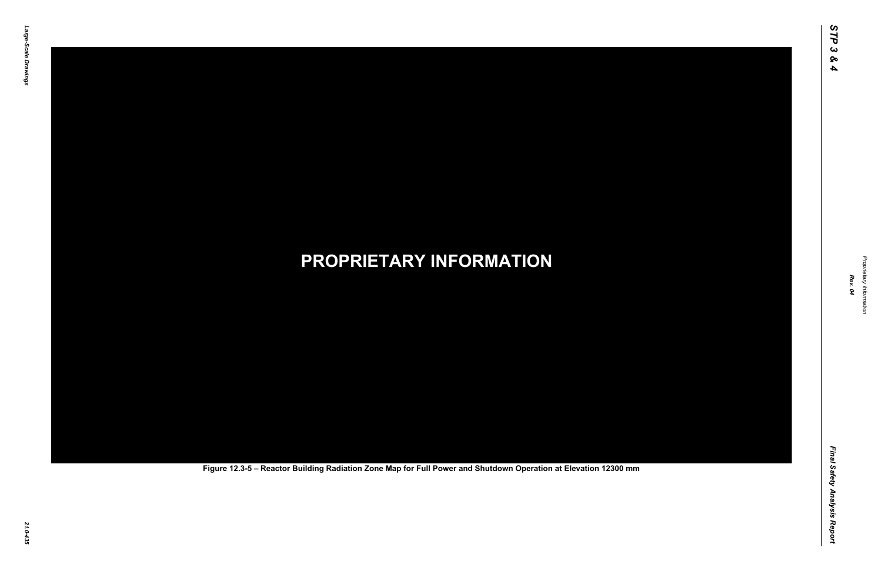Final Safety Analysis Report *Final Safety Analysis Report*

*Proprietary Information* Proprietary Information



# *21.0-435* **PROPRIETARY INFORMATION Figure 12.3-5 – Reactor Building Radiation Zone Map for Full Power and Shutdown Operation at Elevation 12300 mm**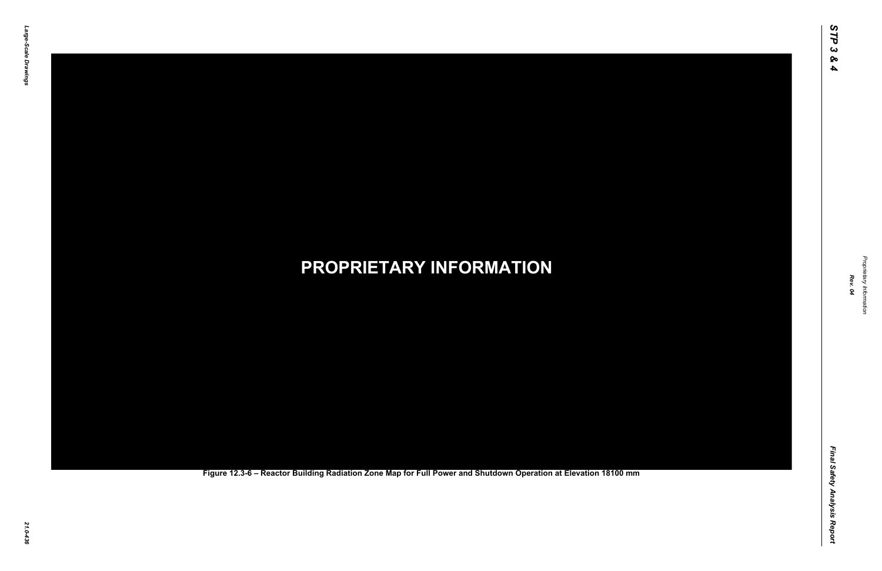Final Safety Analysis Report *Final Safety Analysis Report*

*Proprietary Information* Proprietary Information



### *21.0-436* **PROPRIETARY INFORMATION Figure 12.3-6 – Reactor Building Radiation Zone Map for Full Power and Shutdown Operation at Elevation 18100 mm**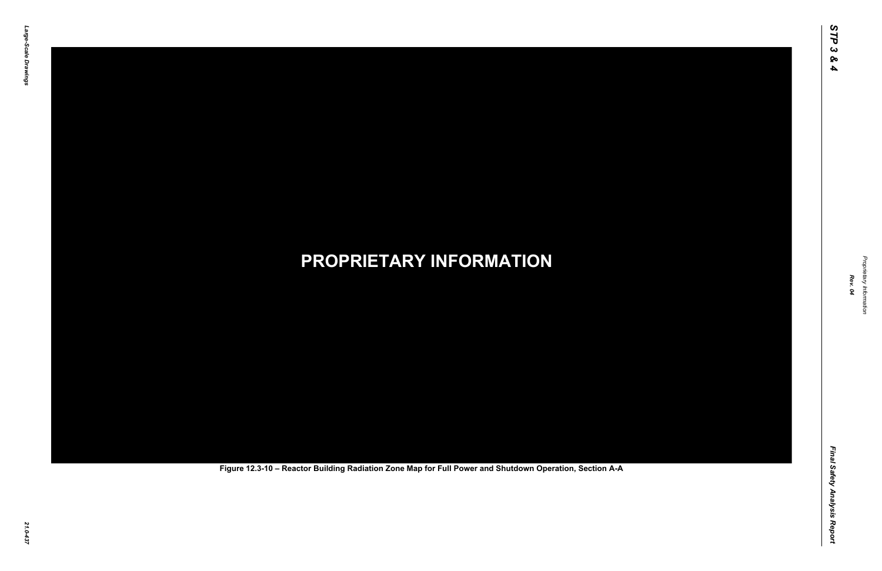Final Safety Analysis Report *Final Safety Analysis Report*



Proprietary Information *Proprietary Information*

# *21.0-437* **PROPRIETARY INFORMATION Figure 12.3-10 – Reactor Building Radiation Zone Map for Full Power and Shutdown Operation, Section A-A**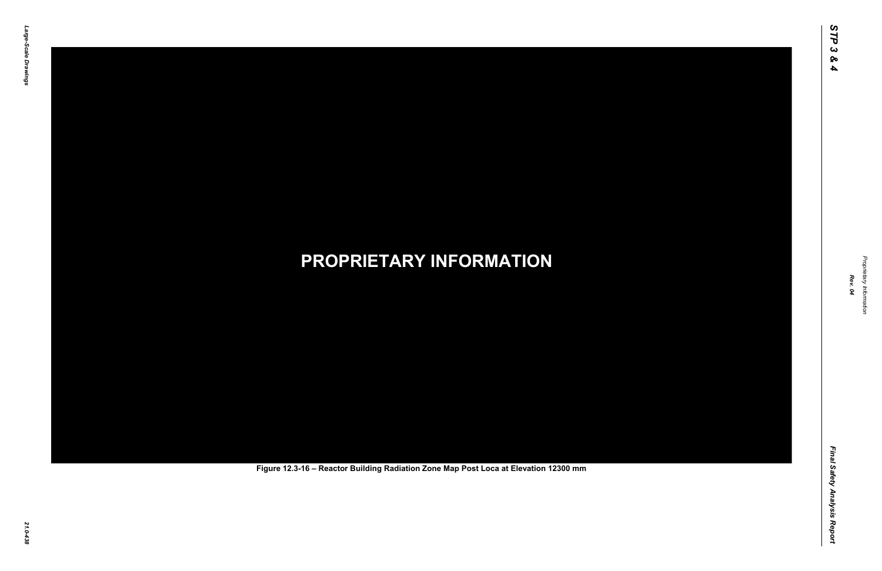Final Safety Analysis Report *Final Safety Analysis Report*



Proprietary Information *Proprietary Information*

# *21.0-438* **PROPRIETARY INFORMATION Figure 12.3-16 – Reactor Building Radiation Zone Map Post Loca at Elevation 12300 mm**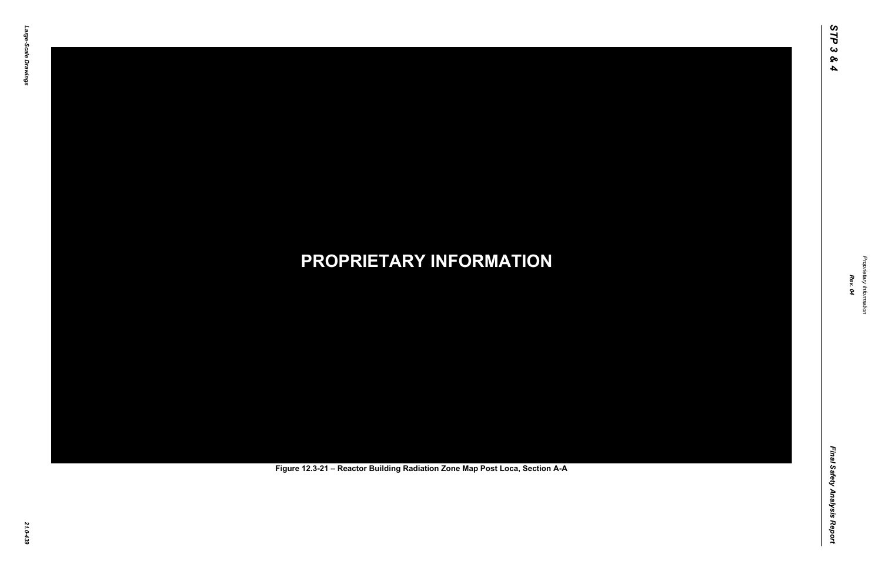Final Safety Analysis Report *Final Safety Analysis Report*



Proprietary Information *Proprietary Information*

# *21.0-439* **PROPRIETARY INFORMATION Figure 12.3-21 – Reactor Building Radiation Zone Map Post Loca, Section A-A**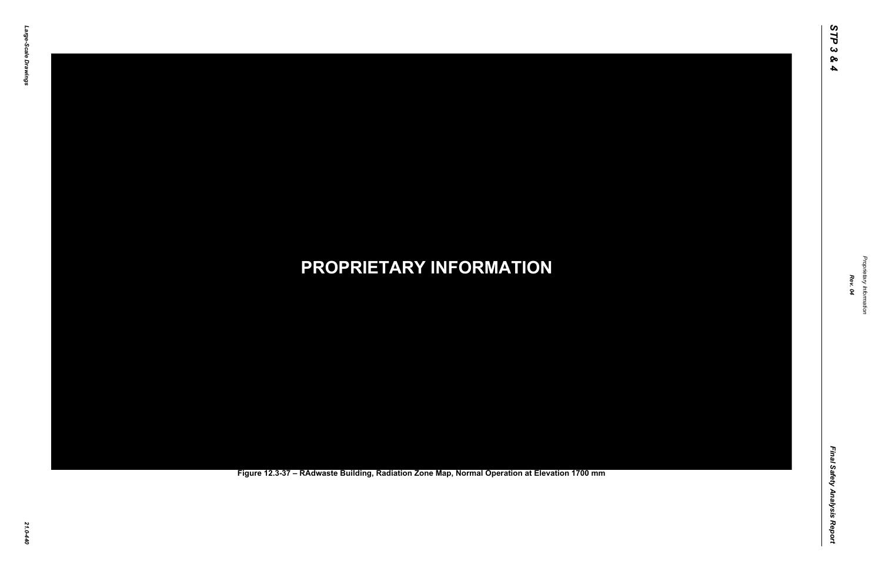Final Safety Analysis Report *Final Safety Analysis Report*



Proprietary Information *Proprietary Information*

### *21.0-440* **PROPRIETARY INFORMATION Figure 12.3-37 – RAdwaste Building, Radiation Zone Map, Normal Operation at Elevation 1700 mm**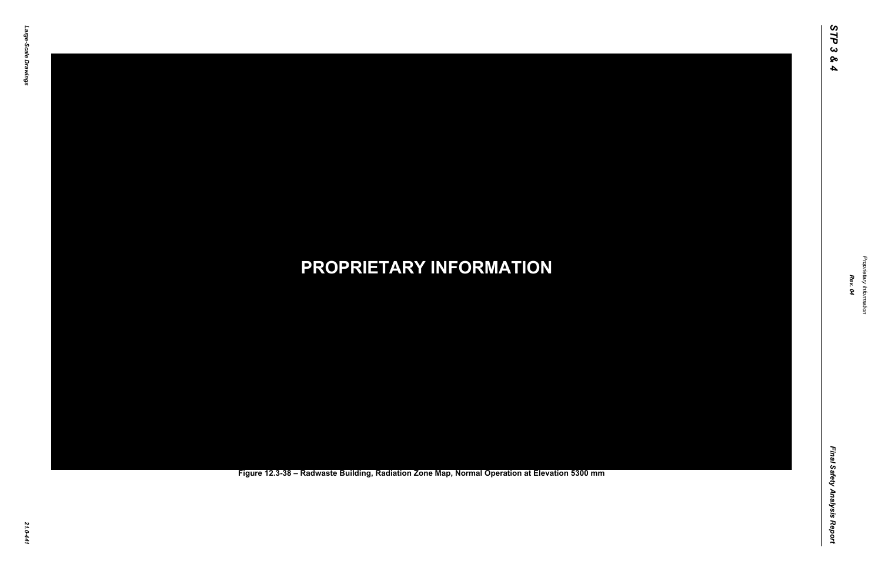Final Safety Analysis Report *Final Safety Analysis Report*

*Proprietary Information* Proprietary Information



### *21.0-441* **PROPRIETARY INFORMATION Figure 12.3-38 – Radwaste Building, Radiation Zone Map, Normal Operation at Elevation 5300 mm**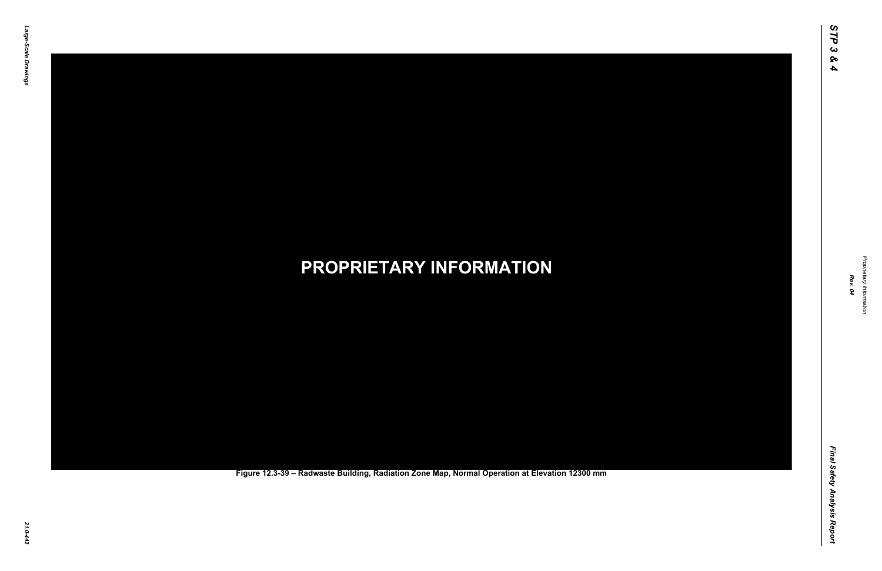Final Safety Analysis Report *Final Safety Analysis Report*



Proprietary Information *Proprietary Information*

### *21.0-442* **PROPRIETARY INFORMATION Figure 12.3-39 – Radwaste Building, Radiation Zone Map, Normal Operation at Elevation 12300 mm**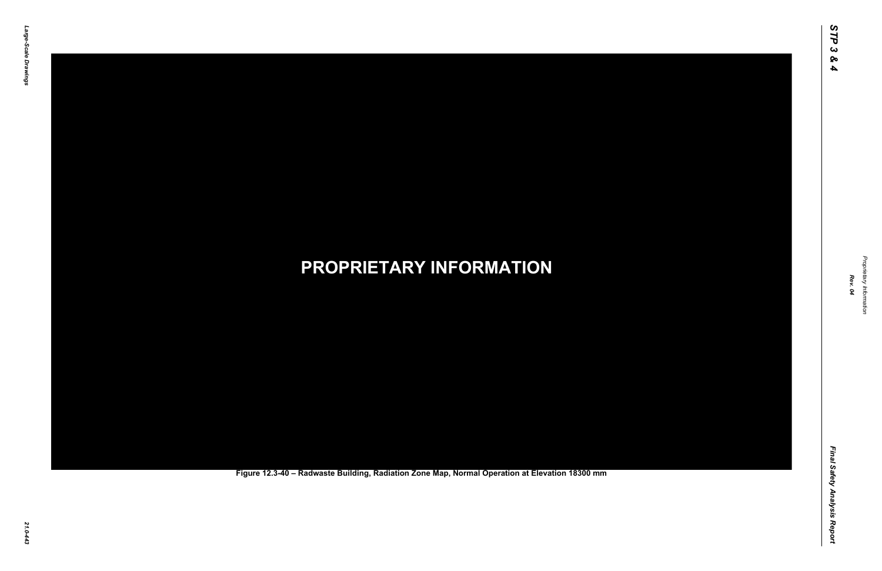Final Safety Analysis Report *Final Safety Analysis Report*

*Proprietary Information* Proprietary Information



### *21.0-443* **PROPRIETARY INFORMATION Figure 12.3-40 – Radwaste Building, Radiation Zone Map, Normal Operation at Elevation 18300 mm**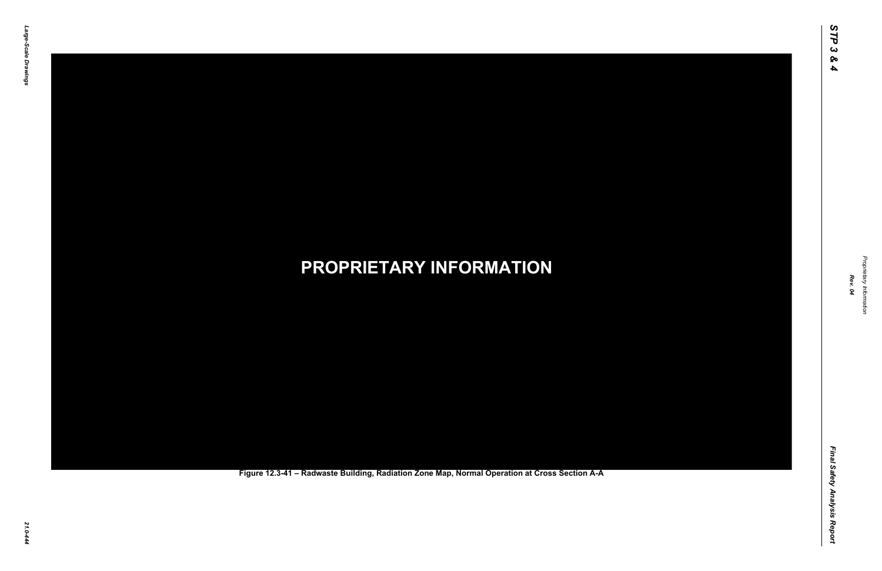Final Safety Analysis Report *Final Safety Analysis Report*

*Proprietary Information* Proprietary Information



*21.0-444* **PROPRIETARY INFORMATION Figure 12.3-41 – Radwaste Building, Radiation Zone Map, Normal Operation at Cross Section A-A**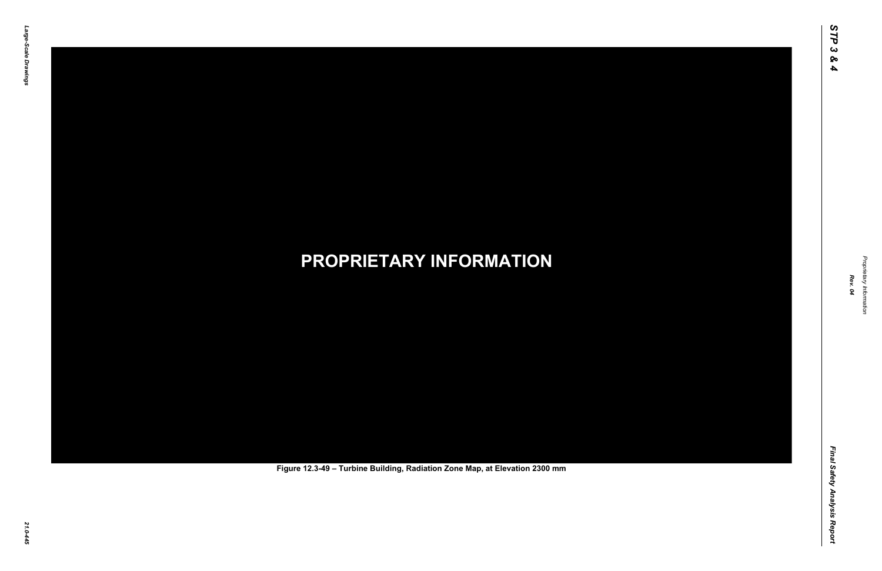Final Safety Analysis Report *Final Safety Analysis Report*



Proprietary Information *Proprietary Information*

# *21.0-445* **PROPRIETARY INFORMATION Figure 12.3-49 – Turbine Building, Radiation Zone Map, at Elevation 2300 mm**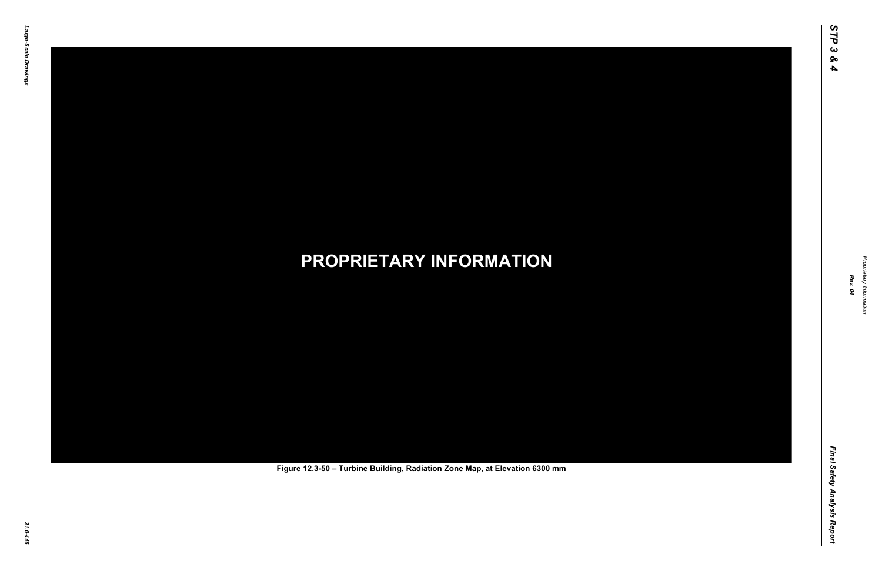Final Safety Analysis Report *Final Safety Analysis Report*



Proprietary Information *Proprietary Information*

# *21.0-446* **PROPRIETARY INFORMATION Figure 12.3-50 – Turbine Building, Radiation Zone Map, at Elevation 6300 mm**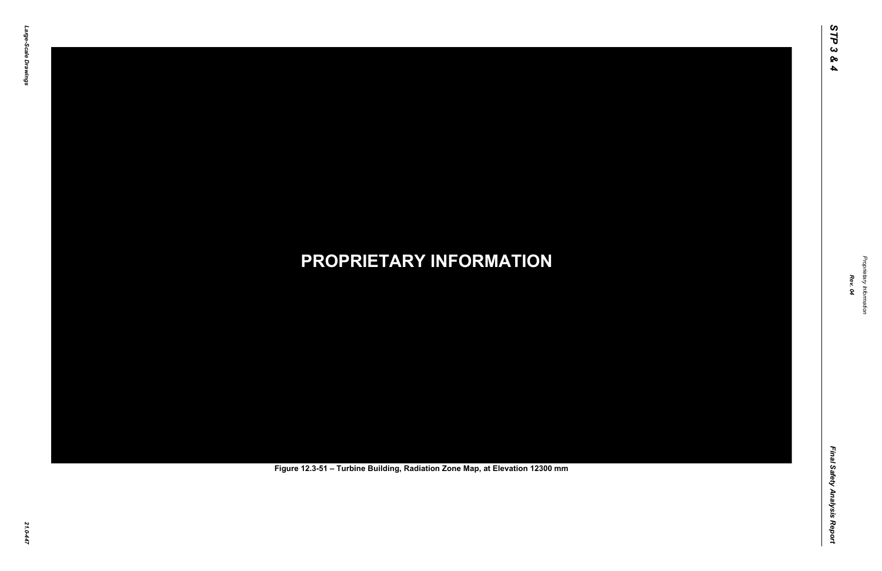Final Safety Analysis Report *Final Safety Analysis Report*



Proprietary Information *Proprietary Information*

# *21.0-447* **PROPRIETARY INFORMATION Figure 12.3-51 – Turbine Building, Radiation Zone Map, at Elevation 12300 mm**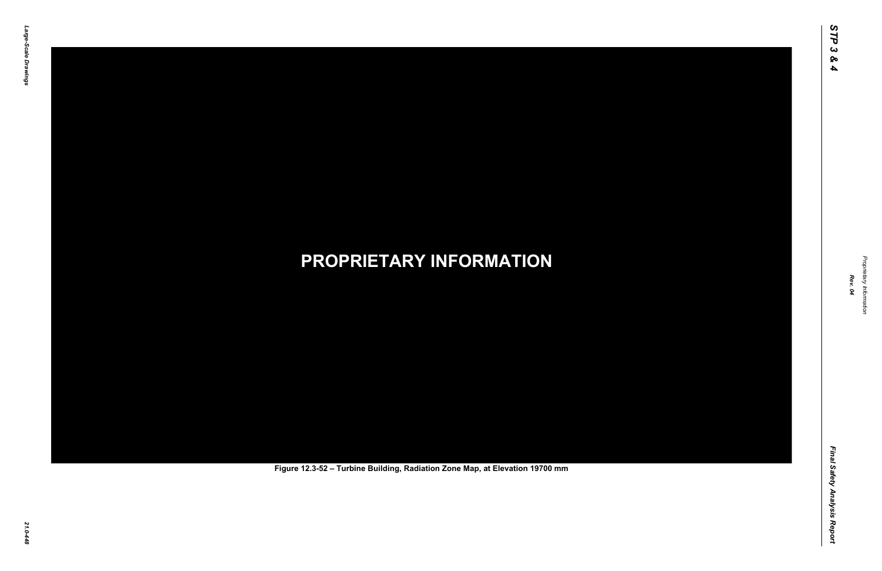Final Safety Analysis Report *Final Safety Analysis Report*



Proprietary Information *Proprietary Information*

# *21.0-448* **PROPRIETARY INFORMATION Figure 12.3-52 – Turbine Building, Radiation Zone Map, at Elevation 19700 mm**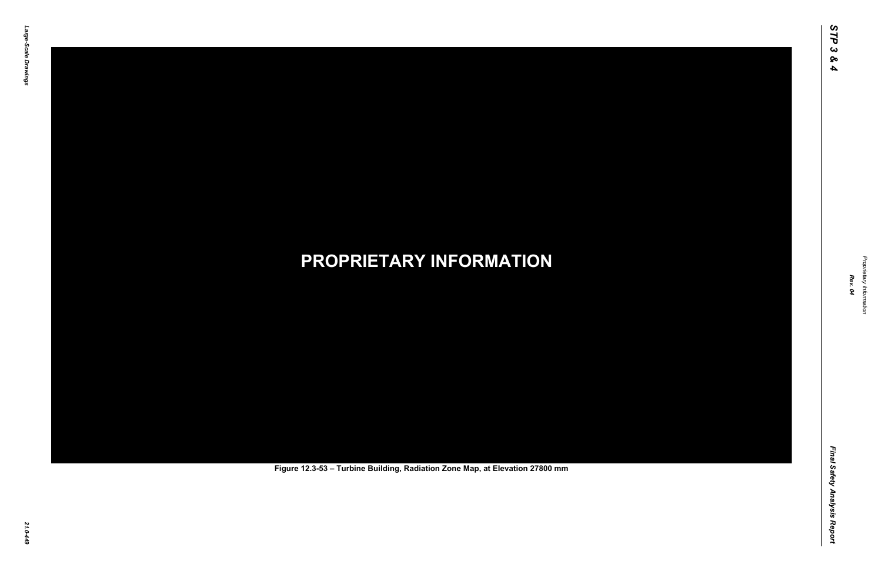Final Safety Analysis Report *Final Safety Analysis Report*



Proprietary Information *Proprietary Information*

# *21.0-449* **PROPRIETARY INFORMATION Figure 12.3-53 – Turbine Building, Radiation Zone Map, at Elevation 27800 mm**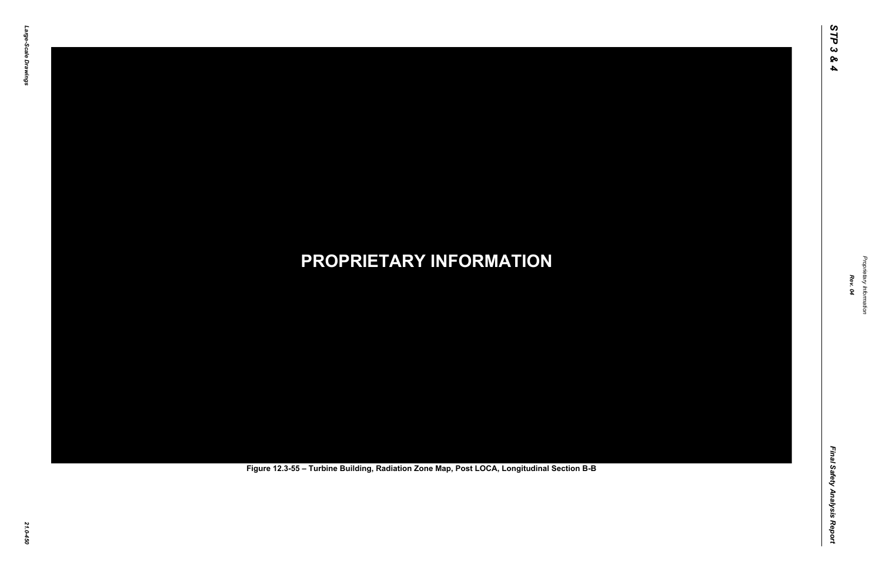Final Safety Analysis Report *Final Safety Analysis Report*

![](_page_17_Picture_7.jpeg)

Proprietary Information *Proprietary Information*

# *21.0-450* **PROPRIETARY INFORMATION Figure 12.3-55 – Turbine Building, Radiation Zone Map, Post LOCA, Longitudinal Section B-B**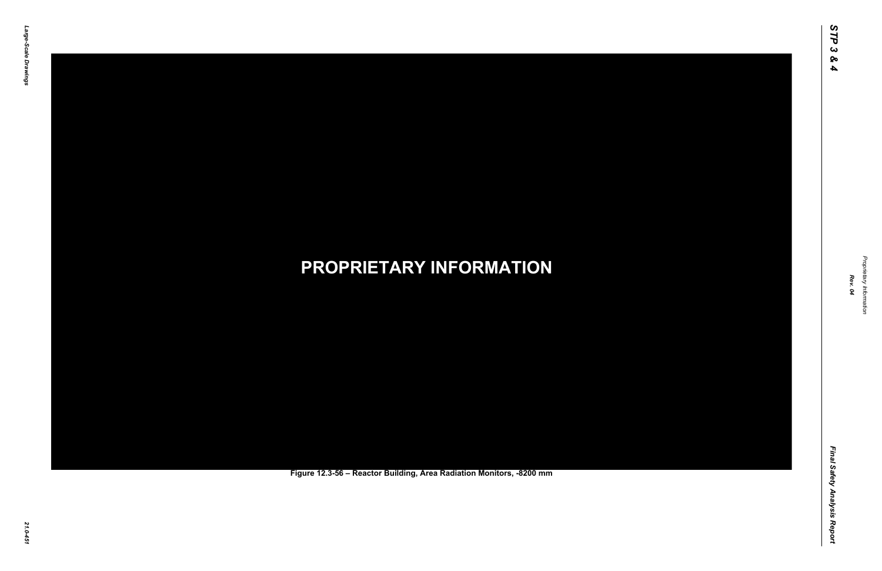Final Safety Analysis Report *Final Safety Analysis Report*

![](_page_18_Picture_7.jpeg)

Proprietary Information *Proprietary Information*

### *21.0-451* **PROPRIETARY INFORMATION Figure 12.3-56 – Reactor Building, Area Radiation Monitors, -8200 mm**